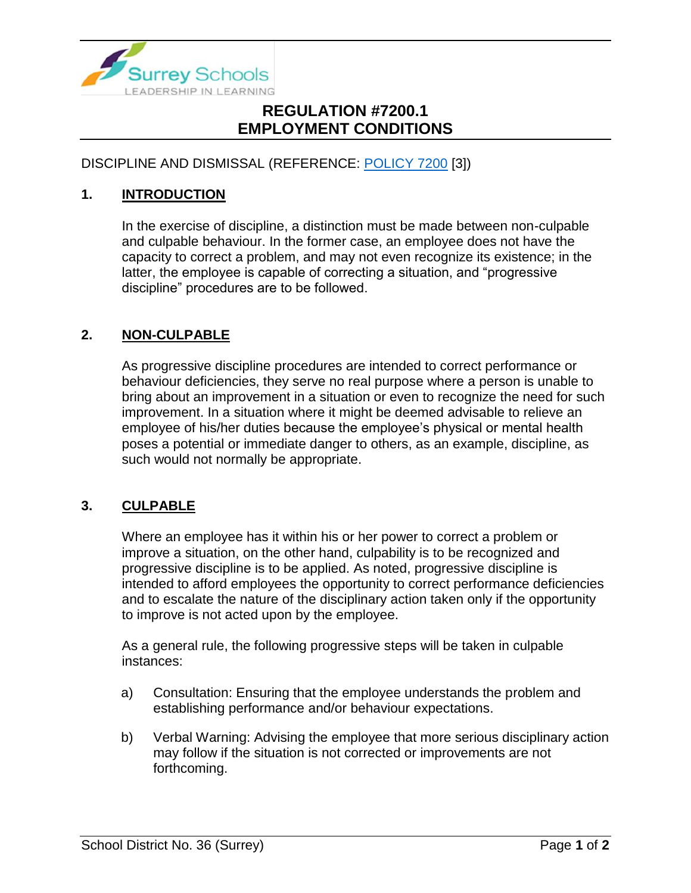

## **REGULATION #7200.1 EMPLOYMENT CONDITIONS**

DISCIPLINE AND DISMISSAL (REFERENCE: [POLICY 7200](https://www.surreyschools.ca/departments/SECT/PoliciesRegulations/section_7000/Documents/7200%20Policy.pdf) [3])

### **1. INTRODUCTION**

In the exercise of discipline, a distinction must be made between non-culpable and culpable behaviour. In the former case, an employee does not have the capacity to correct a problem, and may not even recognize its existence; in the latter, the employee is capable of correcting a situation, and "progressive discipline" procedures are to be followed.

#### **2. NON-CULPABLE**

As progressive discipline procedures are intended to correct performance or behaviour deficiencies, they serve no real purpose where a person is unable to bring about an improvement in a situation or even to recognize the need for such improvement. In a situation where it might be deemed advisable to relieve an employee of his/her duties because the employee's physical or mental health poses a potential or immediate danger to others, as an example, discipline, as such would not normally be appropriate.

#### **3. CULPABLE**

Where an employee has it within his or her power to correct a problem or improve a situation, on the other hand, culpability is to be recognized and progressive discipline is to be applied. As noted, progressive discipline is intended to afford employees the opportunity to correct performance deficiencies and to escalate the nature of the disciplinary action taken only if the opportunity to improve is not acted upon by the employee.

As a general rule, the following progressive steps will be taken in culpable instances:

- a) Consultation: Ensuring that the employee understands the problem and establishing performance and/or behaviour expectations.
- b) Verbal Warning: Advising the employee that more serious disciplinary action may follow if the situation is not corrected or improvements are not forthcoming.